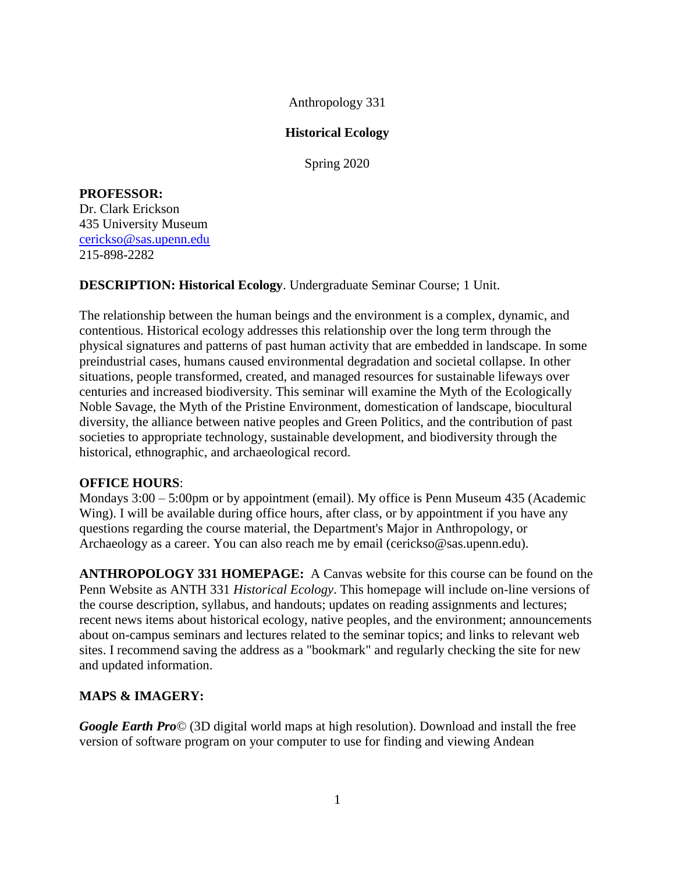Anthropology 331

## **Historical Ecology**

Spring 2020

# **PROFESSOR:**

Dr. Clark Erickson 435 University Museum [cerickso@sas.upenn.edu](mailto:cerickso@sas.upenn.edu) 215-898-2282

## **DESCRIPTION: Historical Ecology**. Undergraduate Seminar Course; 1 Unit.

The relationship between the human beings and the environment is a complex, dynamic, and contentious. Historical ecology addresses this relationship over the long term through the physical signatures and patterns of past human activity that are embedded in landscape. In some preindustrial cases, humans caused environmental degradation and societal collapse. In other situations, people transformed, created, and managed resources for sustainable lifeways over centuries and increased biodiversity. This seminar will examine the Myth of the Ecologically Noble Savage, the Myth of the Pristine Environment, domestication of landscape, biocultural diversity, the alliance between native peoples and Green Politics, and the contribution of past societies to appropriate technology, sustainable development, and biodiversity through the historical, ethnographic, and archaeological record.

#### **OFFICE HOURS**:

Mondays 3:00 – 5:00pm or by appointment (email). My office is Penn Museum 435 (Academic Wing). I will be available during office hours, after class, or by appointment if you have any questions regarding the course material, the Department's Major in Anthropology, or Archaeology as a career. You can also reach me by email (cerickso@sas.upenn.edu).

**ANTHROPOLOGY 331 HOMEPAGE:** A Canvas website for this course can be found on the Penn Website as ANTH 331 *Historical Ecology*. This homepage will include on-line versions of the course description, syllabus, and handouts; updates on reading assignments and lectures; recent news items about historical ecology, native peoples, and the environment; announcements about on-campus seminars and lectures related to the seminar topics; and links to relevant web sites. I recommend saving the address as a "bookmark" and regularly checking the site for new and updated information.

# **MAPS & IMAGERY:**

*Google Earth Pro©* (3D digital world maps at high resolution). Download and install the free version of software program on your computer to use for finding and viewing Andean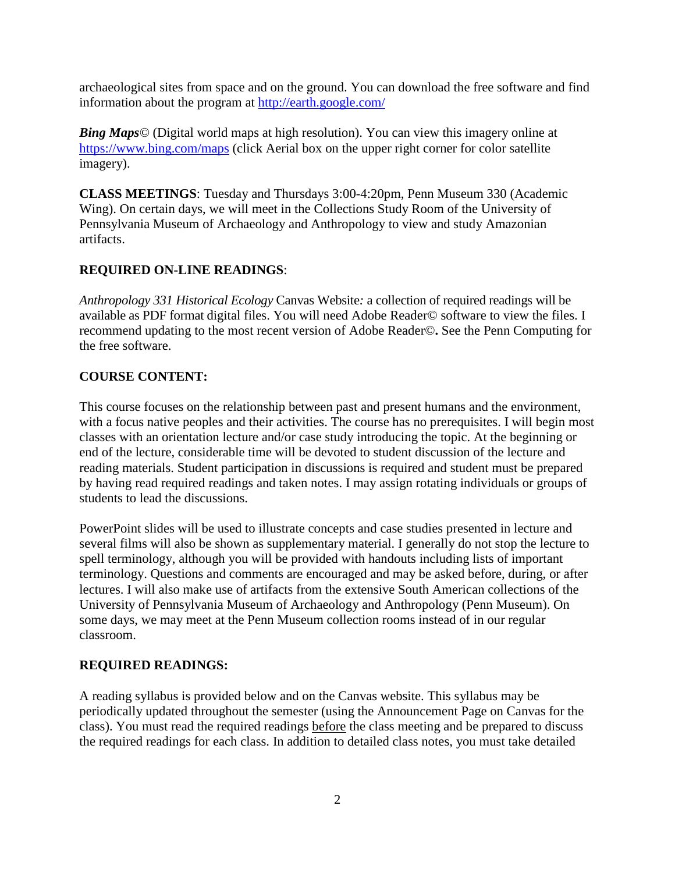archaeological sites from space and on the ground. You can download the free software and find information about the program at<http://earth.google.com/>

*Bing Maps*<sup>*©*</sup> (Digital world maps at high resolution). You can view this imagery online at <https://www.bing.com/maps> (click Aerial box on the upper right corner for color satellite imagery).

**CLASS MEETINGS**: Tuesday and Thursdays 3:00-4:20pm, Penn Museum 330 (Academic Wing). On certain days, we will meet in the Collections Study Room of the University of Pennsylvania Museum of Archaeology and Anthropology to view and study Amazonian artifacts.

# **REQUIRED ON-LINE READINGS**:

*Anthropology 331 Historical Ecology* Canvas Website*:* a collection of required readings will be available as PDF format digital files. You will need Adobe Reader© software to view the files. I recommend updating to the most recent version of Adobe Reader©**.** See the Penn Computing for the free software.

## **COURSE CONTENT:**

This course focuses on the relationship between past and present humans and the environment, with a focus native peoples and their activities. The course has no prerequisites. I will begin most classes with an orientation lecture and/or case study introducing the topic. At the beginning or end of the lecture, considerable time will be devoted to student discussion of the lecture and reading materials. Student participation in discussions is required and student must be prepared by having read required readings and taken notes. I may assign rotating individuals or groups of students to lead the discussions.

PowerPoint slides will be used to illustrate concepts and case studies presented in lecture and several films will also be shown as supplementary material. I generally do not stop the lecture to spell terminology, although you will be provided with handouts including lists of important terminology. Questions and comments are encouraged and may be asked before, during, or after lectures. I will also make use of artifacts from the extensive South American collections of the University of Pennsylvania Museum of Archaeology and Anthropology (Penn Museum). On some days, we may meet at the Penn Museum collection rooms instead of in our regular classroom.

#### **REQUIRED READINGS:**

A reading syllabus is provided below and on the Canvas website. This syllabus may be periodically updated throughout the semester (using the Announcement Page on Canvas for the class). You must read the required readings before the class meeting and be prepared to discuss the required readings for each class. In addition to detailed class notes, you must take detailed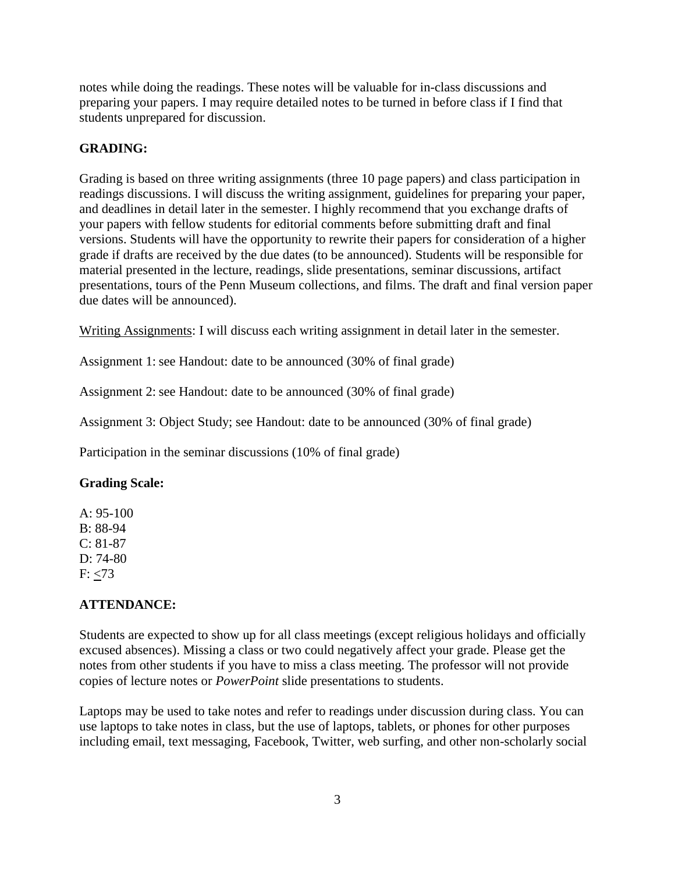notes while doing the readings. These notes will be valuable for in-class discussions and preparing your papers. I may require detailed notes to be turned in before class if I find that students unprepared for discussion.

# **GRADING:**

Grading is based on three writing assignments (three 10 page papers) and class participation in readings discussions. I will discuss the writing assignment, guidelines for preparing your paper, and deadlines in detail later in the semester. I highly recommend that you exchange drafts of your papers with fellow students for editorial comments before submitting draft and final versions. Students will have the opportunity to rewrite their papers for consideration of a higher grade if drafts are received by the due dates (to be announced). Students will be responsible for material presented in the lecture, readings, slide presentations, seminar discussions, artifact presentations, tours of the Penn Museum collections, and films. The draft and final version paper due dates will be announced).

Writing Assignments: I will discuss each writing assignment in detail later in the semester.

Assignment 1: see Handout: date to be announced (30% of final grade)

Assignment 2: see Handout: date to be announced (30% of final grade)

Assignment 3: Object Study; see Handout: date to be announced (30% of final grade)

Participation in the seminar discussions (10% of final grade)

# **Grading Scale:**

 $A: 95-100$ B: 88-94 C: 81-87 D: 74-80  $F: < 73$ 

# **ATTENDANCE:**

Students are expected to show up for all class meetings (except religious holidays and officially excused absences). Missing a class or two could negatively affect your grade. Please get the notes from other students if you have to miss a class meeting. The professor will not provide copies of lecture notes or *PowerPoint* slide presentations to students.

Laptops may be used to take notes and refer to readings under discussion during class. You can use laptops to take notes in class, but the use of laptops, tablets, or phones for other purposes including email, text messaging, Facebook, Twitter, web surfing, and other non-scholarly social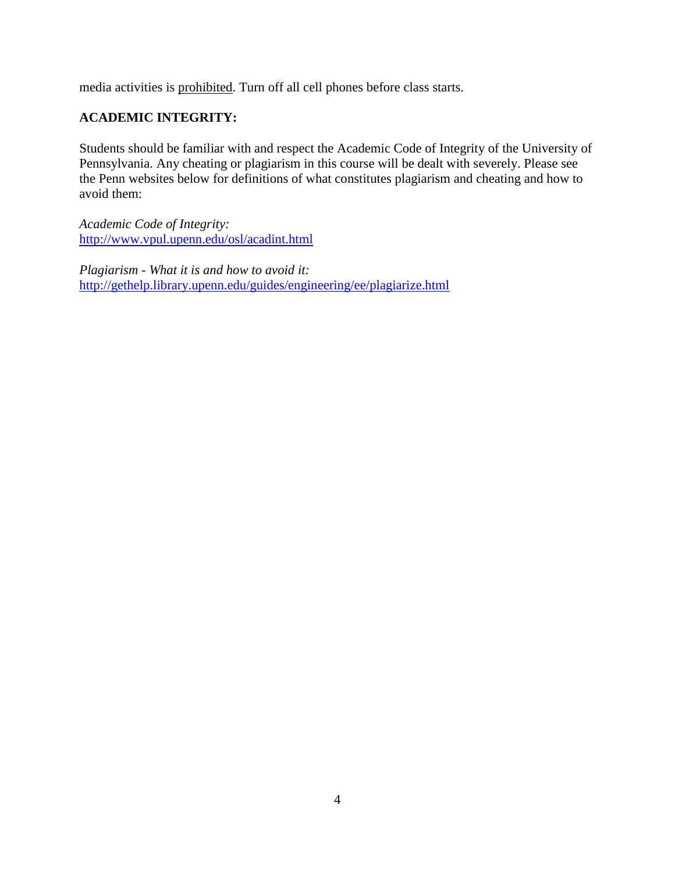media activities is prohibited. Turn off all cell phones before class starts.

# **ACADEMIC INTEGRITY:**

Students should be familiar with and respect the Academic Code of Integrity of the University of Pennsylvania. Any cheating or plagiarism in this course will be dealt with severely. Please see the Penn websites below for definitions of what constitutes plagiarism and cheating and how to avoid them:

*Academic Code of Integrity:*  <http://www.vpul.upenn.edu/osl/acadint.html>

*Plagiarism - What it is and how to avoid it:*  <http://gethelp.library.upenn.edu/guides/engineering/ee/plagiarize.html>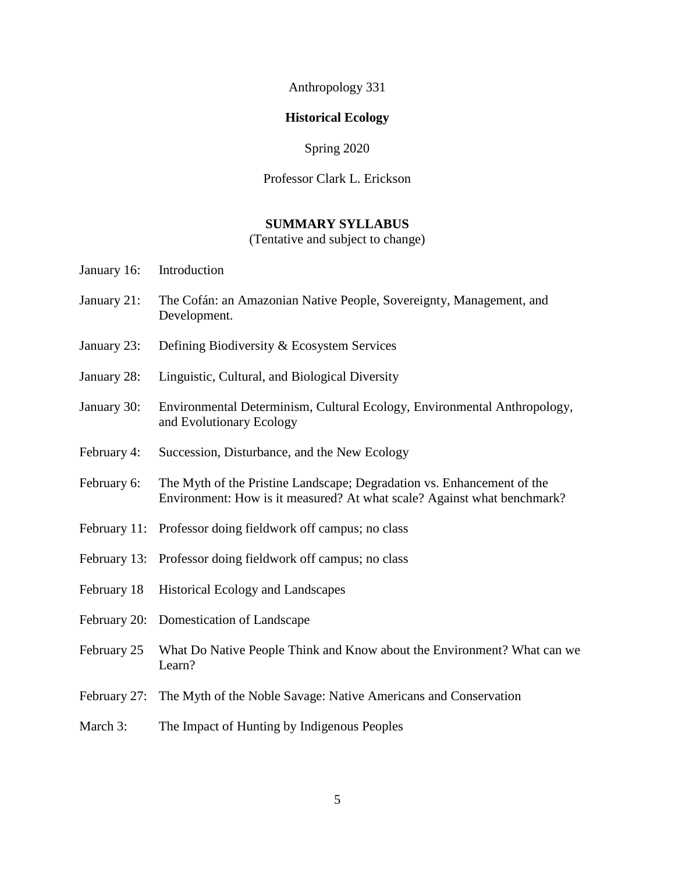Anthropology 331

#### **Historical Ecology**

Spring 2020

#### Professor Clark L. Erickson

#### **SUMMARY SYLLABUS**

(Tentative and subject to change)

- January 16: Introduction
- January 21: The Cofán: an Amazonian Native People, Sovereignty, Management, and Development.
- January 23: Defining Biodiversity & Ecosystem Services
- January 28: Linguistic, Cultural, and Biological Diversity
- January 30: Environmental Determinism, Cultural Ecology, Environmental Anthropology, and Evolutionary Ecology
- February 4: Succession, Disturbance, and the New Ecology
- February 6: The Myth of the Pristine Landscape; Degradation vs. Enhancement of the Environment: How is it measured? At what scale? Against what benchmark?
- February 11: Professor doing fieldwork off campus; no class
- February 13: Professor doing fieldwork off campus; no class
- February 18 Historical Ecology and Landscapes
- February 20: Domestication of Landscape
- February 25 What Do Native People Think and Know about the Environment? What can we Learn?
- February 27: The Myth of the Noble Savage: Native Americans and Conservation
- March 3: The Impact of Hunting by Indigenous Peoples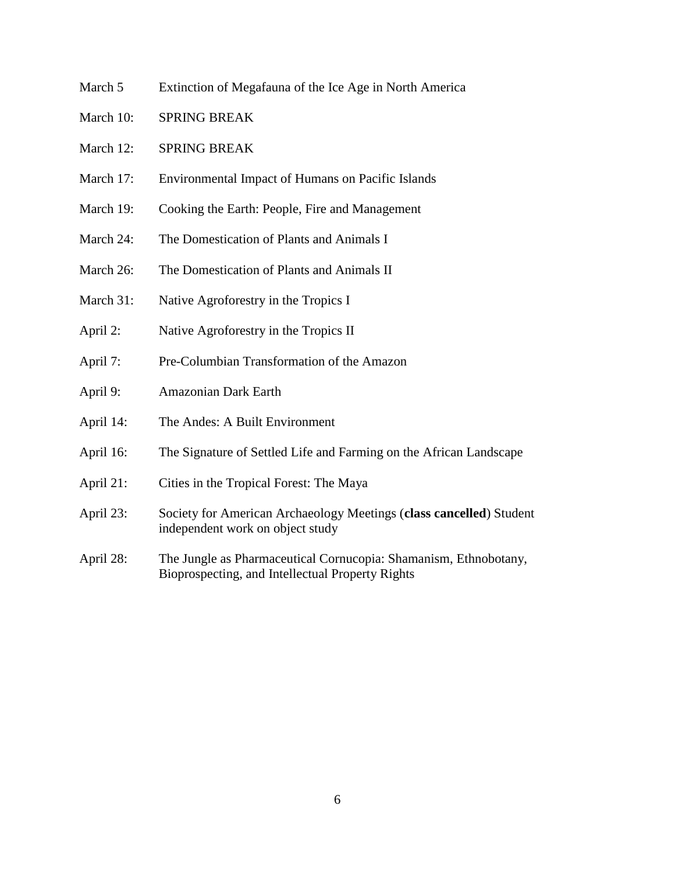- March 5 Extinction of Megafauna of the Ice Age in North America
- March 10: SPRING BREAK
- March 12: SPRING BREAK
- March 17: Environmental Impact of Humans on Pacific Islands
- March 19: Cooking the Earth: People, Fire and Management
- March 24: The Domestication of Plants and Animals I
- March 26: The Domestication of Plants and Animals II
- March 31: Native Agroforestry in the Tropics I
- April 2: Native Agroforestry in the Tropics II
- April 7: Pre-Columbian Transformation of the Amazon
- April 9: Amazonian Dark Earth
- April 14: The Andes: A Built Environment
- April 16: The Signature of Settled Life and Farming on the African Landscape
- April 21: Cities in the Tropical Forest: The Maya
- April 23: Society for American Archaeology Meetings (**class cancelled**) Student independent work on object study
- April 28: The Jungle as Pharmaceutical Cornucopia: Shamanism, Ethnobotany, Bioprospecting, and Intellectual Property Rights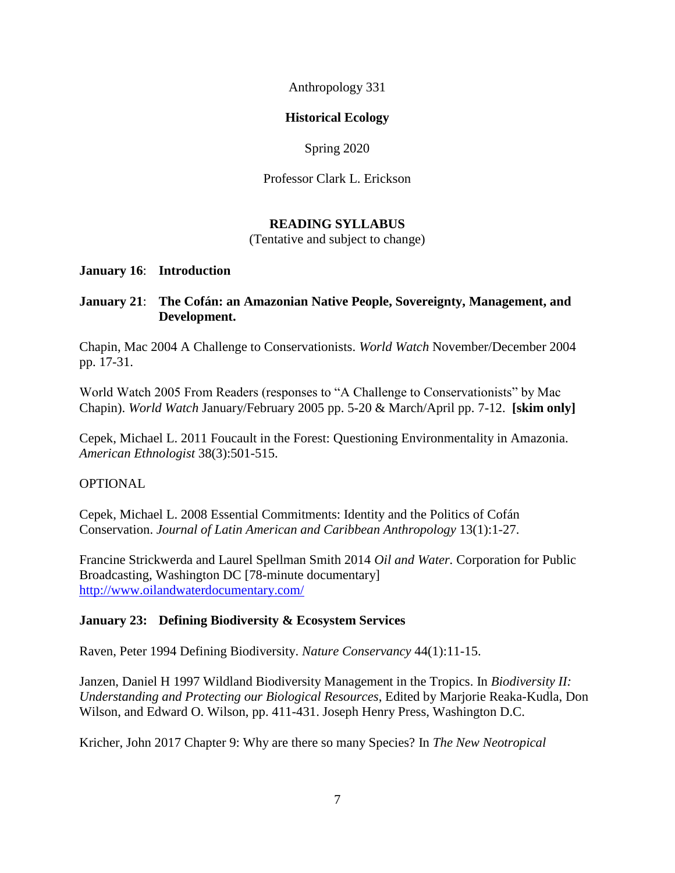Anthropology 331

# **Historical Ecology**

Spring 2020

Professor Clark L. Erickson

# **READING SYLLABUS**

(Tentative and subject to change)

## **January 16**: **Introduction**

# **January 21**: **The Cofán: an Amazonian Native People, Sovereignty, Management, and Development.**

Chapin, Mac 2004 A Challenge to Conservationists. *World Watch* November/December 2004 pp. 17-31.

World Watch 2005 From Readers (responses to "A Challenge to Conservationists" by Mac Chapin). *World Watch* January/February 2005 pp. 5-20 & March/April pp. 7-12. **[skim only]**

Cepek, Michael L. 2011 Foucault in the Forest: Questioning Environmentality in Amazonia. *American Ethnologist* 38(3):501-515.

# OPTIONAL

Cepek, Michael L. 2008 Essential Commitments: Identity and the Politics of Cofán Conservation. *Journal of Latin American and Caribbean Anthropology* 13(1):1-27.

Francine Strickwerda and Laurel Spellman Smith 2014 *Oil and Water.* Corporation for Public Broadcasting, Washington DC [78-minute documentary] <http://www.oilandwaterdocumentary.com/>

# **January 23: Defining Biodiversity & Ecosystem Services**

Raven, Peter 1994 Defining Biodiversity. *Nature Conservancy* 44(1):11-15.

Janzen, Daniel H 1997 Wildland Biodiversity Management in the Tropics. In *Biodiversity II: Understanding and Protecting our Biological Resources*, Edited by Marjorie Reaka-Kudla, Don Wilson, and Edward O. Wilson, pp. 411-431. Joseph Henry Press, Washington D.C.

Kricher, John 2017 Chapter 9: Why are there so many Species? In *The New Neotropical*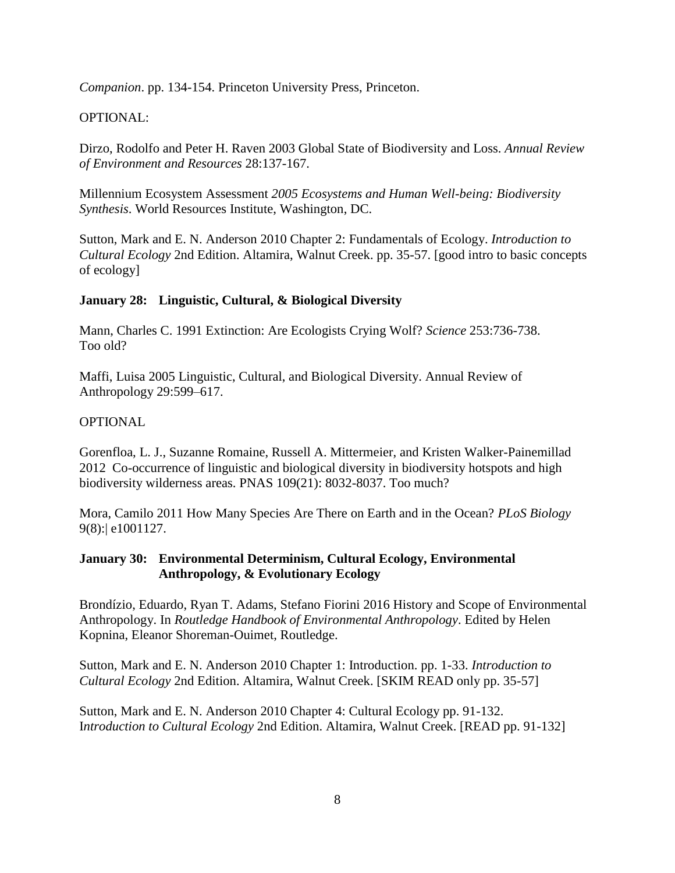*Companion*. pp. 134-154. Princeton University Press, Princeton.

# OPTIONAL:

Dirzo, Rodolfo and Peter H. Raven 2003 Global State of Biodiversity and Loss. *Annual Review of Environment and Resources* 28:137-167.

Millennium Ecosystem Assessment *2005 Ecosystems and Human Well-being: Biodiversity Synthesis*. World Resources Institute, Washington, DC.

Sutton, Mark and E. N. Anderson 2010 Chapter 2: Fundamentals of Ecology. *Introduction to Cultural Ecology* 2nd Edition. Altamira, Walnut Creek. pp. 35-57. [good intro to basic concepts of ecology]

#### **January 28: Linguistic, Cultural, & Biological Diversity**

Mann, Charles C. 1991 Extinction: Are Ecologists Crying Wolf? *Science* 253:736-738. Too old?

Maffi, Luisa 2005 Linguistic, Cultural, and Biological Diversity. Annual Review of Anthropology 29:599–617.

#### OPTIONAL

Gorenfloa, L. J., Suzanne Romaine, Russell A. Mittermeier, and Kristen Walker-Painemillad 2012 Co-occurrence of linguistic and biological diversity in biodiversity hotspots and high biodiversity wilderness areas. PNAS 109(21): 8032-8037. Too much?

Mora, Camilo 2011 How Many Species Are There on Earth and in the Ocean? *PLoS Biology* 9(8):| e1001127.

## **January 30: Environmental Determinism, Cultural Ecology, Environmental Anthropology, & Evolutionary Ecology**

Brondízio, Eduardo, Ryan T. Adams, Stefano Fiorini 2016 History and Scope of Environmental Anthropology. In *Routledge Handbook of Environmental Anthropology*. Edited by Helen Kopnina, Eleanor Shoreman-Ouimet, Routledge.

Sutton, Mark and E. N. Anderson 2010 Chapter 1: Introduction. pp. 1-33. *Introduction to Cultural Ecology* 2nd Edition. Altamira, Walnut Creek. [SKIM READ only pp. 35-57]

Sutton, Mark and E. N. Anderson 2010 Chapter 4: Cultural Ecology pp. 91-132. I*ntroduction to Cultural Ecology* 2nd Edition. Altamira, Walnut Creek. [READ pp. 91-132]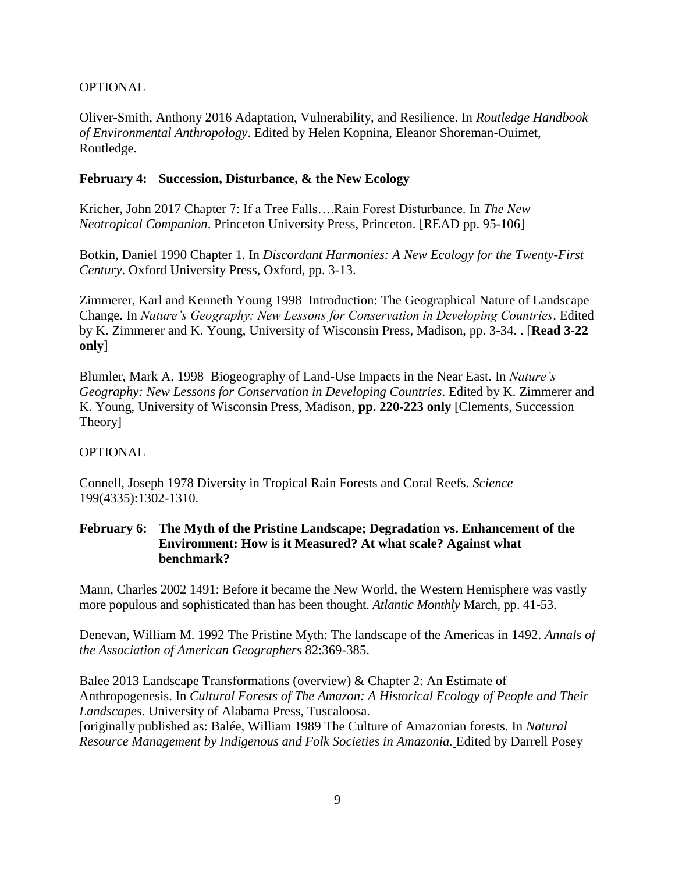# OPTIONAL

Oliver-Smith, Anthony 2016 Adaptation, Vulnerability, and Resilience. In *Routledge Handbook of Environmental Anthropology*. Edited by Helen Kopnina, Eleanor Shoreman-Ouimet, Routledge.

#### **February 4: Succession, Disturbance, & the New Ecology**

Kricher, John 2017 Chapter 7: If a Tree Falls….Rain Forest Disturbance. In *The New Neotropical Companion*. Princeton University Press, Princeton. [READ pp. 95-106]

Botkin, Daniel 1990 Chapter 1. In *Discordant Harmonies: A New Ecology for the Twenty-First Century*. Oxford University Press, Oxford, pp. 3-13.

Zimmerer, Karl and Kenneth Young 1998 Introduction: The Geographical Nature of Landscape Change. In *Nature's Geography: New Lessons for Conservation in Developing Countries*. Edited by K. Zimmerer and K. Young, University of Wisconsin Press, Madison, pp. 3-34. . [**Read 3-22 only**]

Blumler, Mark A. 1998 Biogeography of Land-Use Impacts in the Near East. In *Nature's Geography: New Lessons for Conservation in Developing Countries*. Edited by K. Zimmerer and K. Young, University of Wisconsin Press, Madison, **pp. 220-223 only** [Clements, Succession Theory]

#### **OPTIONAL**

Connell, Joseph 1978 Diversity in Tropical Rain Forests and Coral Reefs. *Science* 199(4335):1302-1310.

## **February 6: The Myth of the Pristine Landscape; Degradation vs. Enhancement of the Environment: How is it Measured? At what scale? Against what benchmark?**

Mann, Charles 2002 1491: Before it became the New World, the Western Hemisphere was vastly more populous and sophisticated than has been thought. *Atlantic Monthly* March, pp. 41-53.

Denevan, William M. 1992 The Pristine Myth: The landscape of the Americas in 1492. *Annals of the Association of American Geographers* 82:369-385.

Balee 2013 Landscape Transformations (overview) & Chapter 2: An Estimate of Anthropogenesis. In *Cultural Forests of The Amazon: A Historical Ecology of People and Their Landscapes*. University of Alabama Press, Tuscaloosa.

[originally published as: Balée, William 1989 The Culture of Amazonian forests. In *Natural Resource Management by Indigenous and Folk Societies in Amazonia.* Edited by Darrell Posey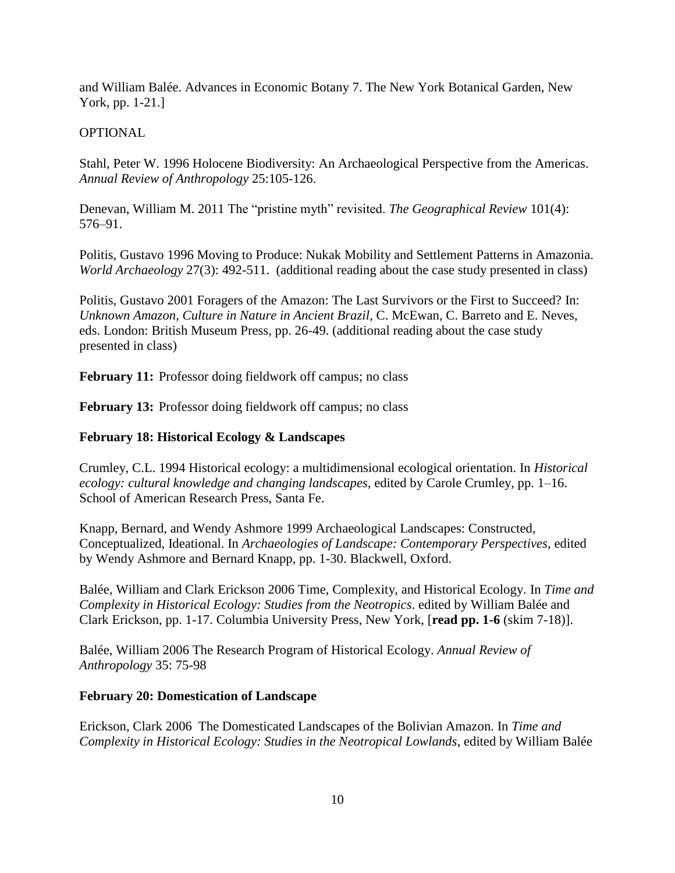and William Balée. Advances in Economic Botany 7. The New York Botanical Garden, New York, pp. 1-21.]

#### **OPTIONAL**

Stahl, Peter W. 1996 Holocene Biodiversity: An Archaeological Perspective from the Americas. *Annual Review of Anthropology* 25:105-126.

Denevan, William M. 2011 The "pristine myth" revisited. *The Geographical Review* 101(4): 576–91.

Politis, Gustavo 1996 Moving to Produce: Nukak Mobility and Settlement Patterns in Amazonia. *World Archaeology* 27(3): 492-511. (additional reading about the case study presented in class)

Politis, Gustavo 2001 Foragers of the Amazon: The Last Survivors or the First to Succeed? In: *Unknown Amazon, Culture in Nature in Ancient Brazil*, C. McEwan, C. Barreto and E. Neves, eds. London: British Museum Press, pp. 26-49. (additional reading about the case study presented in class)

**February 11:** Professor doing fieldwork off campus; no class

**February 13:** Professor doing fieldwork off campus; no class

#### **February 18: Historical Ecology & Landscapes**

Crumley, C.L. 1994 Historical ecology: a multidimensional ecological orientation. In *Historical ecology: cultural knowledge and changing landscapes*, edited by Carole Crumley, pp. 1–16. School of American Research Press, Santa Fe.

Knapp, Bernard, and Wendy Ashmore 1999 Archaeological Landscapes: Constructed, Conceptualized, Ideational. In *Archaeologies of Landscape: Contemporary Perspectives*, edited by Wendy Ashmore and Bernard Knapp, pp. 1-30. Blackwell, Oxford.

Balée, William and Clark Erickson 2006 Time, Complexity, and Historical Ecology. In *Time and Complexity in Historical Ecology: Studies from the Neotropics*. edited by William Balée and Clark Erickson, pp. 1-17. Columbia University Press, New York, [**read pp. 1-6** (skim 7-18)].

Balée, William 2006 The Research Program of Historical Ecology. *Annual Review of Anthropology* 35: 75-98

#### **February 20: Domestication of Landscape**

Erickson, Clark 2006 The Domesticated Landscapes of the Bolivian Amazon. In *Time and Complexity in Historical Ecology: Studies in the Neotropical Lowlands*, edited by William Balée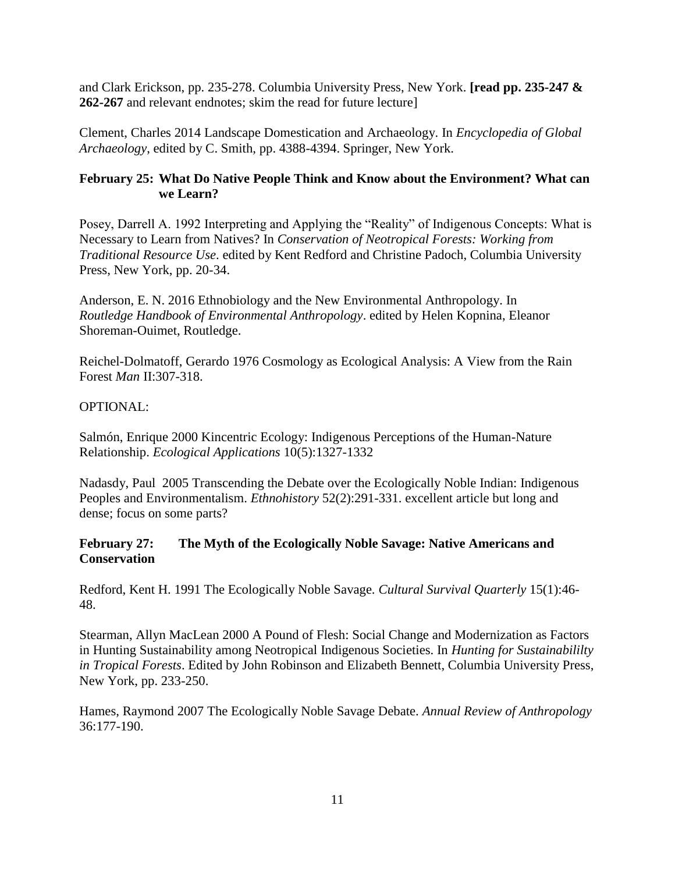and Clark Erickson, pp. 235-278. Columbia University Press, New York. **[read pp. 235-247 & 262-267** and relevant endnotes; skim the read for future lecture]

Clement, Charles 2014 Landscape Domestication and Archaeology. In *Encyclopedia of Global Archaeology*, edited by C. Smith, pp. 4388-4394. Springer, New York.

# **February 25: What Do Native People Think and Know about the Environment? What can we Learn?**

Posey, Darrell A. 1992 Interpreting and Applying the "Reality" of Indigenous Concepts: What is Necessary to Learn from Natives? In *Conservation of Neotropical Forests: Working from Traditional Resource Use*. edited by Kent Redford and Christine Padoch, Columbia University Press, New York, pp. 20-34.

Anderson, E. N. 2016 Ethnobiology and the New Environmental Anthropology. In *Routledge Handbook of Environmental Anthropology*. edited by Helen Kopnina, Eleanor Shoreman-Ouimet, Routledge.

Reichel-Dolmatoff, Gerardo 1976 Cosmology as Ecological Analysis: A View from the Rain Forest *Man* II:307-318.

## OPTIONAL:

Salmón, Enrique 2000 Kincentric Ecology: Indigenous Perceptions of the Human-Nature Relationship. *Ecological Applications* 10(5):1327-1332

Nadasdy, Paul 2005 Transcending the Debate over the Ecologically Noble Indian: Indigenous Peoples and Environmentalism. *Ethnohistory* 52(2):291-331. excellent article but long and dense; focus on some parts?

## **February 27: The Myth of the Ecologically Noble Savage: Native Americans and Conservation**

Redford, Kent H. 1991 The Ecologically Noble Savage. *Cultural Survival Quarterly* 15(1):46- 48.

Stearman, Allyn MacLean 2000 A Pound of Flesh: Social Change and Modernization as Factors in Hunting Sustainability among Neotropical Indigenous Societies. In *Hunting for Sustainabililty in Tropical Forests*. Edited by John Robinson and Elizabeth Bennett, Columbia University Press, New York, pp. 233-250.

Hames, Raymond 2007 The Ecologically Noble Savage Debate. *Annual Review of Anthropology*  36:177-190.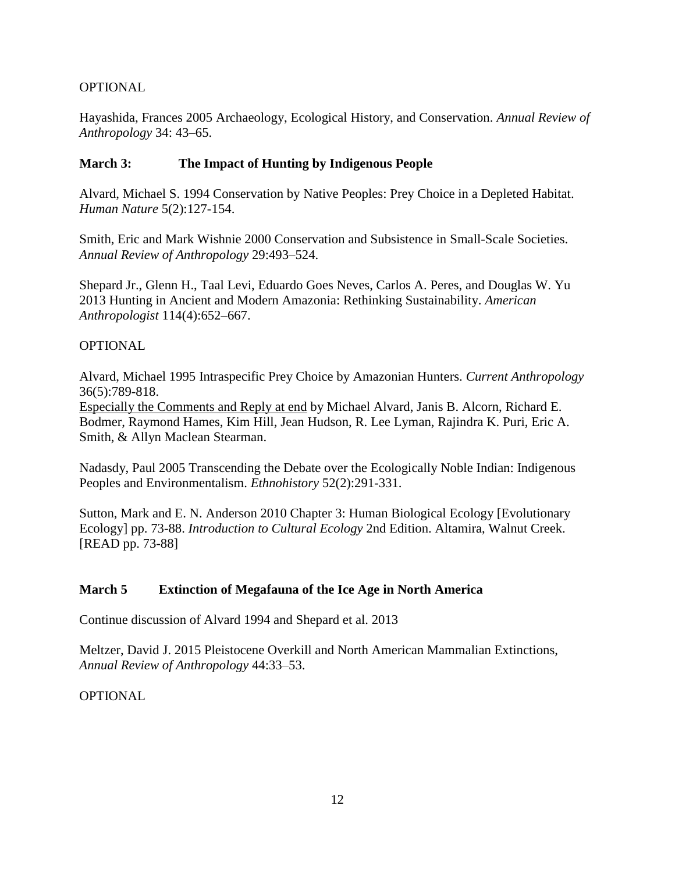# OPTIONAL

Hayashida, Frances 2005 Archaeology, Ecological History, and Conservation. *Annual Review of Anthropology* 34: 43–65.

## **March 3: The Impact of Hunting by Indigenous People**

Alvard, Michael S. 1994 Conservation by Native Peoples: Prey Choice in a Depleted Habitat. *Human Nature* 5(2):127-154.

Smith, Eric and Mark Wishnie 2000 Conservation and Subsistence in Small-Scale Societies. *Annual Review of Anthropology* 29:493–524.

Shepard Jr., Glenn H., Taal Levi, Eduardo Goes Neves, Carlos A. Peres, and Douglas W. Yu 2013 Hunting in Ancient and Modern Amazonia: Rethinking Sustainability. *American Anthropologist* 114(4):652–667.

#### **OPTIONAL**

Alvard, Michael 1995 Intraspecific Prey Choice by Amazonian Hunters. *Current Anthropology* 36(5):789-818.

Especially the Comments and Reply at end by Michael Alvard, Janis B. Alcorn, Richard E. Bodmer, Raymond Hames, Kim Hill, Jean Hudson, R. Lee Lyman, Rajindra K. Puri, Eric A. Smith, & Allyn Maclean Stearman.

Nadasdy, Paul 2005 Transcending the Debate over the Ecologically Noble Indian: Indigenous Peoples and Environmentalism. *Ethnohistory* 52(2):291-331.

Sutton, Mark and E. N. Anderson 2010 Chapter 3: Human Biological Ecology [Evolutionary Ecology] pp. 73-88. *Introduction to Cultural Ecology* 2nd Edition. Altamira, Walnut Creek. [READ pp. 73-88]

#### **March 5 Extinction of Megafauna of the Ice Age in North America**

Continue discussion of Alvard 1994 and Shepard et al. 2013

Meltzer, David J. 2015 Pleistocene Overkill and North American Mammalian Extinctions, *Annual Review of Anthropology* 44:33–53.

OPTIONAL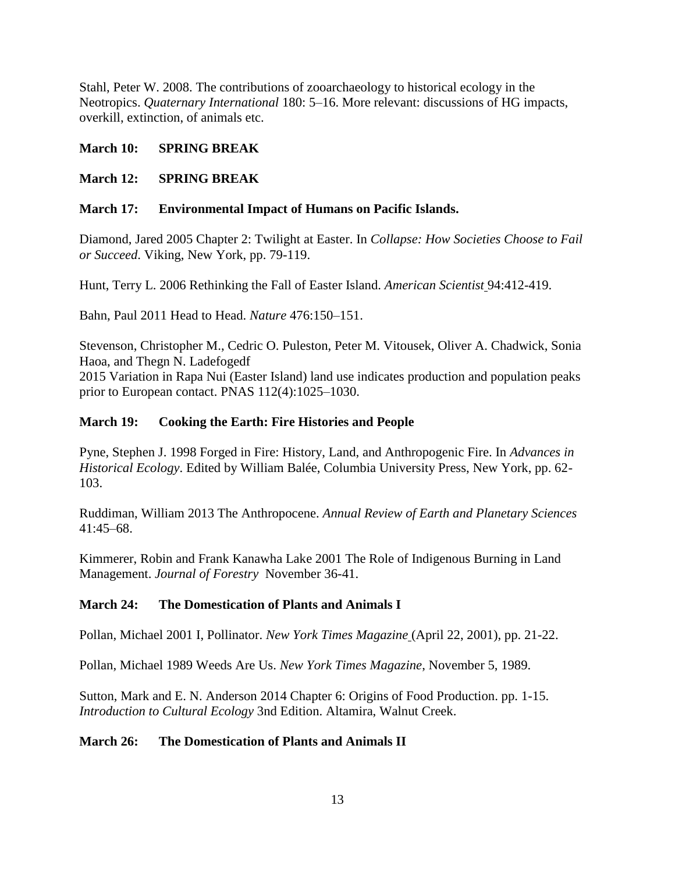Stahl, Peter W. 2008. The contributions of zooarchaeology to historical ecology in the Neotropics. *Quaternary International* 180: 5–16. More relevant: discussions of HG impacts, overkill, extinction, of animals etc.

# **March 10: SPRING BREAK**

# **March 12: SPRING BREAK**

## **March 17: Environmental Impact of Humans on Pacific Islands.**

Diamond, Jared 2005 Chapter 2: Twilight at Easter. In *Collapse: How Societies Choose to Fail or Succeed*. Viking, New York, pp. 79-119.

Hunt, Terry L. 2006 Rethinking the Fall of Easter Island. *American Scientist* 94:412-419.

Bahn, Paul 2011 Head to Head. *Nature* 476:150–151.

Stevenson, Christopher M., Cedric O. Puleston, Peter M. Vitousek, Oliver A. Chadwick, Sonia Haoa, and Thegn N. Ladefogedf

2015 Variation in Rapa Nui (Easter Island) land use indicates production and population peaks prior to European contact. PNAS 112(4):1025–1030.

## **March 19: Cooking the Earth: Fire Histories and People**

Pyne, Stephen J. 1998 Forged in Fire: History, Land, and Anthropogenic Fire. In *Advances in Historical Ecology*. Edited by William Balée, Columbia University Press, New York, pp. 62- 103.

Ruddiman, William 2013 The Anthropocene. *Annual Review of Earth and Planetary Sciences*  41:45–68.

Kimmerer, Robin and Frank Kanawha Lake 2001 The Role of Indigenous Burning in Land Management. *Journal of Forestry* November 36-41.

# **March 24: The Domestication of Plants and Animals I**

Pollan, Michael 2001 I, Pollinator. *New York Times Magazine* (April 22, 2001), pp. 21-22.

Pollan, Michael 1989 Weeds Are Us. *New York Times Magazine*, November 5, 1989.

Sutton, Mark and E. N. Anderson 2014 Chapter 6: Origins of Food Production. pp. 1-15. *Introduction to Cultural Ecology* 3nd Edition. Altamira, Walnut Creek.

#### **March 26: The Domestication of Plants and Animals II**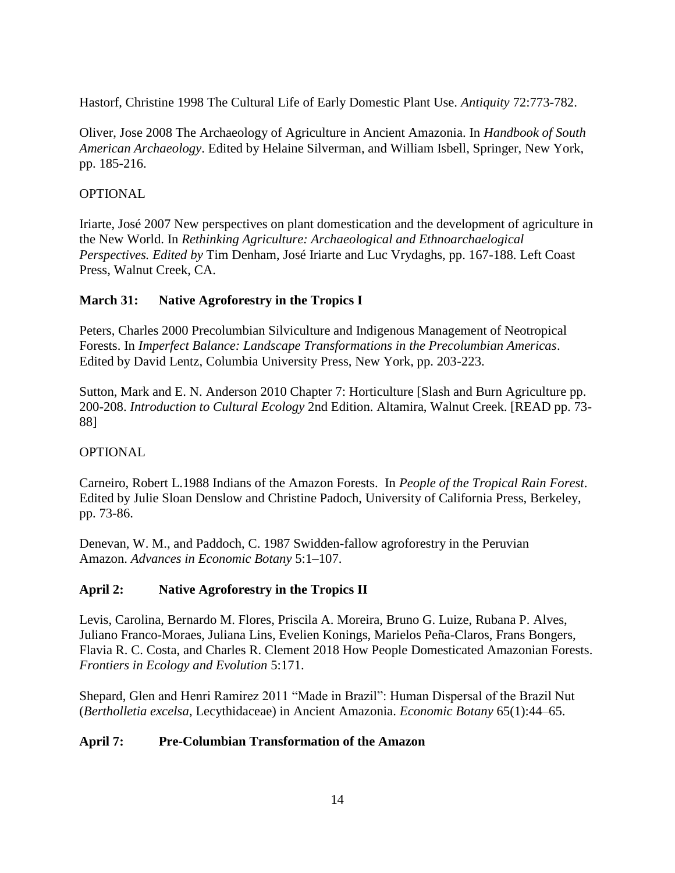Hastorf, Christine 1998 The Cultural Life of Early Domestic Plant Use. *Antiquity* 72:773-782.

Oliver, Jose 2008 The Archaeology of Agriculture in Ancient Amazonia. In *Handbook of South American Archaeology*. Edited by Helaine Silverman, and William Isbell, Springer, New York, pp. 185-216.

# **OPTIONAL**

Iriarte, José 2007 New perspectives on plant domestication and the development of agriculture in the New World. In *Rethinking Agriculture: Archaeological and Ethnoarchaelogical Perspectives. Edited by* Tim Denham, José Iriarte and Luc Vrydaghs, pp. 167-188. Left Coast Press, Walnut Creek, CA.

## **March 31: Native Agroforestry in the Tropics I**

Peters, Charles 2000 Precolumbian Silviculture and Indigenous Management of Neotropical Forests. In *Imperfect Balance: Landscape Transformations in the Precolumbian Americas*. Edited by David Lentz, Columbia University Press, New York, pp. 203-223.

Sutton, Mark and E. N. Anderson 2010 Chapter 7: Horticulture [Slash and Burn Agriculture pp. 200-208. *Introduction to Cultural Ecology* 2nd Edition. Altamira, Walnut Creek. [READ pp. 73- 88]

#### **OPTIONAL**

Carneiro, Robert L.1988 Indians of the Amazon Forests. In *People of the Tropical Rain Forest*. Edited by Julie Sloan Denslow and Christine Padoch, University of California Press, Berkeley, pp. 73-86.

Denevan, W. M., and Paddoch, C. 1987 Swidden-fallow agroforestry in the Peruvian Amazon. *Advances in Economic Botany* 5:1–107.

#### **April 2: Native Agroforestry in the Tropics II**

Levis, Carolina, Bernardo M. Flores, Priscila A. Moreira, Bruno G. Luize, Rubana P. Alves, Juliano Franco-Moraes, Juliana Lins, Evelien Konings, Marielos Peña-Claros, Frans Bongers, Flavia R. C. Costa, and Charles R. Clement 2018 How People Domesticated Amazonian Forests. *Frontiers in Ecology and Evolution* 5:171.

Shepard, Glen and Henri Ramirez 2011 "Made in Brazil": Human Dispersal of the Brazil Nut (*Bertholletia excelsa*, Lecythidaceae) in Ancient Amazonia. *Economic Botany* 65(1):44–65.

# **April 7: Pre-Columbian Transformation of the Amazon**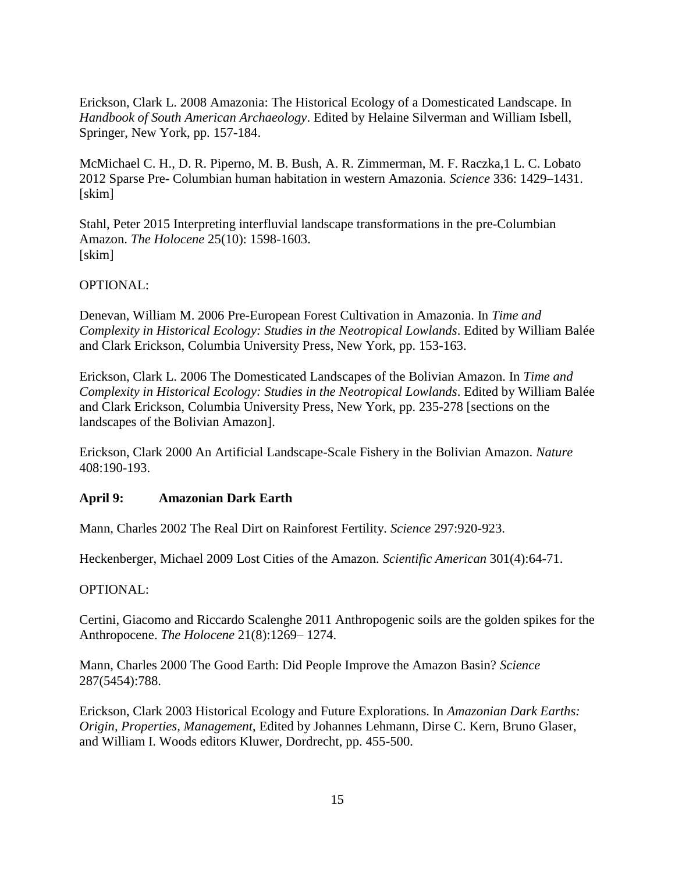Erickson, Clark L. 2008 Amazonia: The Historical Ecology of a Domesticated Landscape. In *Handbook of South American Archaeology*. Edited by Helaine Silverman and William Isbell, Springer, New York, pp. 157-184.

McMichael C. H., D. R. Piperno, M. B. Bush, A. R. Zimmerman, M. F. Raczka,1 L. C. Lobato 2012 Sparse Pre- Columbian human habitation in western Amazonia. *Science* 336: 1429–1431. [skim]

Stahl, Peter 2015 Interpreting interfluvial landscape transformations in the pre-Columbian Amazon. *The Holocene* 25(10): 1598-1603. [skim]

## OPTIONAL:

Denevan, William M. 2006 Pre-European Forest Cultivation in Amazonia. In *Time and Complexity in Historical Ecology: Studies in the Neotropical Lowlands*. Edited by William Balée and Clark Erickson, Columbia University Press, New York, pp. 153-163.

Erickson, Clark L. 2006 The Domesticated Landscapes of the Bolivian Amazon. In *Time and Complexity in Historical Ecology: Studies in the Neotropical Lowlands*. Edited by William Balée and Clark Erickson, Columbia University Press, New York, pp. 235-278 [sections on the landscapes of the Bolivian Amazon].

Erickson, Clark 2000 An Artificial Landscape-Scale Fishery in the Bolivian Amazon. *Nature* 408:190-193.

#### **April 9: Amazonian Dark Earth**

Mann, Charles 2002 The Real Dirt on Rainforest Fertility. *Science* 297:920-923.

Heckenberger, Michael 2009 Lost Cities of the Amazon. *Scientific American* 301(4):64-71.

#### OPTIONAL:

Certini, Giacomo and Riccardo Scalenghe 2011 Anthropogenic soils are the golden spikes for the Anthropocene. *The Holocene* 21(8):1269– 1274.

Mann, Charles 2000 The Good Earth: Did People Improve the Amazon Basin? *Science* 287(5454):788.

Erickson, Clark 2003 Historical Ecology and Future Explorations. In *Amazonian Dark Earths: Origin, Properties, Management*, Edited by Johannes Lehmann, Dirse C. Kern, Bruno Glaser, and William I. Woods editors Kluwer, Dordrecht, pp. 455-500.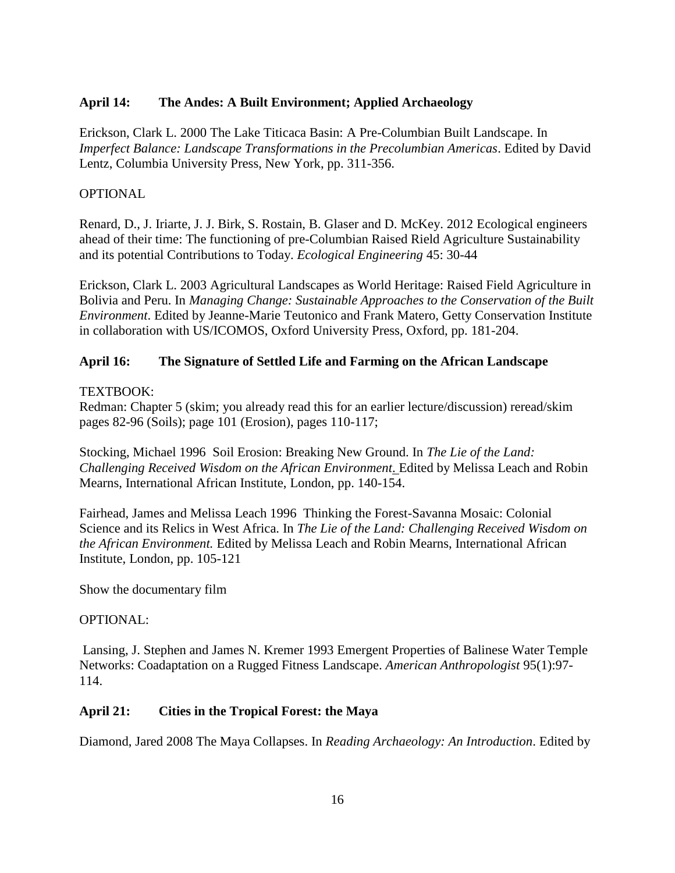## **April 14: The Andes: A Built Environment; Applied Archaeology**

Erickson, Clark L. 2000 The Lake Titicaca Basin: A Pre-Columbian Built Landscape. In *Imperfect Balance: Landscape Transformations in the Precolumbian Americas*. Edited by David Lentz, Columbia University Press, New York, pp. 311-356.

#### **OPTIONAL**

Renard, D., J. Iriarte, J. J. Birk, S. Rostain, B. Glaser and D. McKey. 2012 Ecological engineers ahead of their time: The functioning of pre-Columbian Raised Rield Agriculture Sustainability and its potential Contributions to Today. *Ecological Engineering* 45: 30-44

Erickson, Clark L. 2003 Agricultural Landscapes as World Heritage: Raised Field Agriculture in Bolivia and Peru. In *Managing Change: Sustainable Approaches to the Conservation of the Built Environment*. Edited by Jeanne-Marie Teutonico and Frank Matero, Getty Conservation Institute in collaboration with US/ICOMOS, Oxford University Press, Oxford, pp. 181-204.

## **April 16: The Signature of Settled Life and Farming on the African Landscape**

## TEXTBOOK:

Redman: Chapter 5 (skim; you already read this for an earlier lecture/discussion) reread/skim pages 82-96 (Soils); page 101 (Erosion), pages 110-117;

Stocking, Michael 1996 Soil Erosion: Breaking New Ground. In *The Lie of the Land: Challenging Received Wisdom on the African Environment*. Edited by Melissa Leach and Robin Mearns, International African Institute, London, pp. 140-154.

Fairhead, James and Melissa Leach 1996 Thinking the Forest-Savanna Mosaic: Colonial Science and its Relics in West Africa. In *The Lie of the Land: Challenging Received Wisdom on the African Environment.* Edited by Melissa Leach and Robin Mearns, International African Institute, London, pp. 105-121

Show the documentary film

#### OPTIONAL:

Lansing, J. Stephen and James N. Kremer 1993 Emergent Properties of Balinese Water Temple Networks: Coadaptation on a Rugged Fitness Landscape. *American Anthropologist* 95(1):97- 114.

#### **April 21: Cities in the Tropical Forest: the Maya**

Diamond, Jared 2008 The Maya Collapses. In *Reading Archaeology: An Introduction*. Edited by